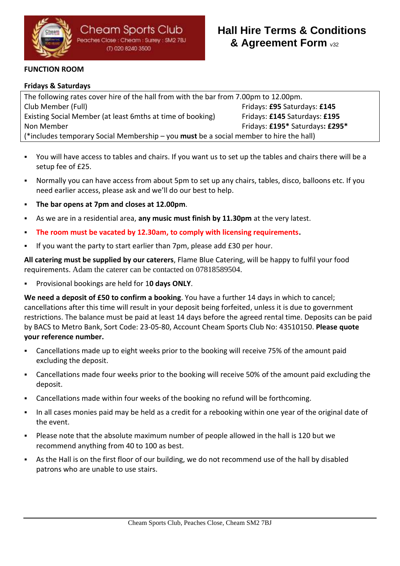

## **FUNCTION ROOM**

### **Fridays & Saturdays**

The following rates cover hire of the hall from with the bar from 7.00pm to 12.00pm. Club Member (Full) Fridays: **£95** Saturdays: **£145** Existing Social Member (at least 6mths at time of booking) Fridays: **£145** Saturdays: **£195** Non Member **Fridays**: **£295\*** Saturdays: **£295\*** Saturdays: **£295\*** (\*includes temporary Social Membership – you **must** be a social member to hire the hall)

- You will have access to tables and chairs. If you want us to set up the tables and chairs there will be a setup fee of £25.
- Normally you can have access from about 5pm to set up any chairs, tables, disco, balloons etc. If you need earlier access, please ask and we'll do our best to help.
- **The bar opens at 7pm and closes at 12.00pm**.
- As we are in a residential area, any music must finish by 11.30pm at the very latest.
- The room must be vacated by 12.30am, to comply with licensing requirements.
- If you want the party to start earlier than 7pm, please add £30 per hour.

**All catering must be supplied by our caterers**, Flame Blue Catering, will be happy to fulfil your food requirements. Adam the caterer can be contacted on 07818589504.

▪ Provisional bookings are held for 1**0 days ONLY**.

**We need a deposit of £50 to confirm a booking**. You have a further 14 days in which to cancel; cancellations after this time will result in your deposit being forfeited, unless it is due to government restrictions. The balance must be paid at least 14 days before the agreed rental time. Deposits can be paid by BACS to Metro Bank, Sort Code: 23-05-80, Account Cheam Sports Club No: 43510150. **Please quote your reference number.**

- Cancellations made up to eight weeks prior to the booking will receive 75% of the amount paid excluding the deposit.
- Cancellations made four weeks prior to the booking will receive 50% of the amount paid excluding the deposit.
- Cancellations made within four weeks of the booking no refund will be forthcoming.
- In all cases monies paid may be held as a credit for a rebooking within one year of the original date of the event.
- Please note that the absolute maximum number of people allowed in the hall is 120 but we recommend anything from 40 to 100 as best.
- As the Hall is on the first floor of our building, we do not recommend use of the hall by disabled patrons who are unable to use stairs.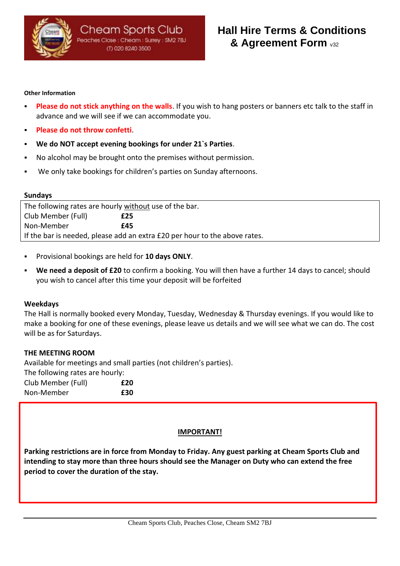

#### **Other Information**

- **Please do not stick anything on the walls**. If you wish to hang posters or banners etc talk to the staff in advance and we will see if we can accommodate you.
- **Please do not throw confetti.**
- We do NOT accept evening bookings for under 21's Parties.
- No alcohol may be brought onto the premises without permission.
- We only take bookings for children's parties on Sunday afternoons.

#### **Sundays**

| The following rates are hourly without use of the bar.                     |     |  |  |  |  |  |  |
|----------------------------------------------------------------------------|-----|--|--|--|--|--|--|
| Club Member (Full)                                                         | £25 |  |  |  |  |  |  |
| Non-Member                                                                 | f45 |  |  |  |  |  |  |
| If the bar is needed, please add an extra £20 per hour to the above rates. |     |  |  |  |  |  |  |

- Provisional bookings are held for **10 days ONLY**.
- We need a deposit of £20 to confirm a booking. You will then have a further 14 days to cancel; should you wish to cancel after this time your deposit will be forfeited

#### **Weekdays**

The Hall is normally booked every Monday, Tuesday, Wednesday & Thursday evenings. If you would like to make a booking for one of these evenings, please leave us details and we will see what we can do. The cost will be as for Saturdays.

#### **THE MEETING ROOM**

Available for meetings and small parties (not children's parties). The following rates are hourly: Club Member (Full) **£20** Non-Member **£30**

#### **IMPORTANT!**

**Parking restrictions are in force from Monday to Friday. Any guest parking at Cheam Sports Club and intending to stay more than three hours should see the Manager on Duty who can extend the free period to cover the duration of the stay.**